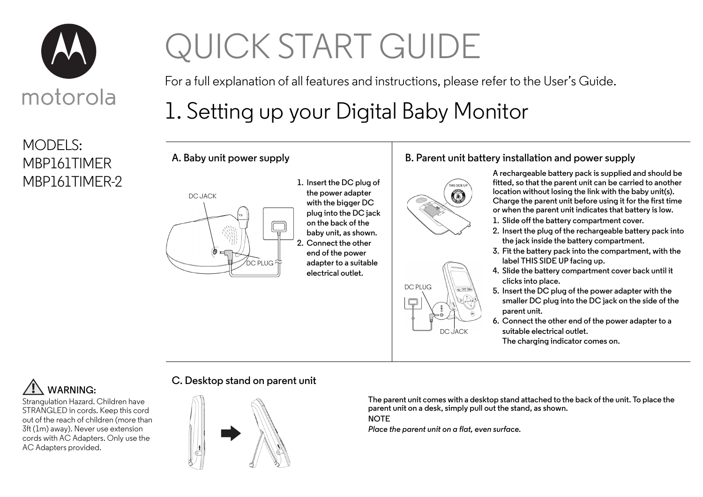

MODELS: MBP161TIMER MBP161TIMER-2

# QUICK START GUIDE

For a full explanation of all features and instructions, please refer to the User's Guide.

## 1. Setting up your Digital Baby Monitor



**A. Baby unit power supply**

**1. Insert the DC plug of the power adapter with the bigger DC plug into the DC jack on the back of the baby unit, as shown. 2. Connect the other end of the power adapter to a suitable electrical outlet.**

#### **B. Parent unit battery installation and power supply**



DC PLUG

Q

**A rechargeable battery pack is supplied and should be fitted, so that the parent unit can be carried to another location without losing the link with the baby unit(s). Charge the parent unit before using it for the first time or when the parent unit indicates that battery is low.**

- **1. Slide off the battery compartment cover.**
- **2. Insert the plug of the rechargeable battery pack into the jack inside the battery compartment.**
- **3. Fit the battery pack into the compartment, with the label THIS SIDE UP facing up.**
- **4. Slide the battery compartment cover back until it clicks into place.**
- **5. Insert the DC plug of the power adapter with the smaller DC plug into the DC jack on the side of the parent unit.**
- **6. Connect the other end of the power adapter to a suitable electrical outlet.**

**The charging indicator comes on.**



Strangulation Hazard. Children have STRANGLED in cords. Keep this cord out of the reach of children (more than 3ft (1m) away). Never use extension cords with AC Adapters. Only use the AC Adapters provided.

#### **C. Desktop stand on parent unit**



**The parent unit comes with a desktop stand attached to the back of the unit. To place the parent unit on a desk, simply pull out the stand, as shown.** 

**NOTE**

*Place the parent unit on a flat, even surface.*

DC JACK